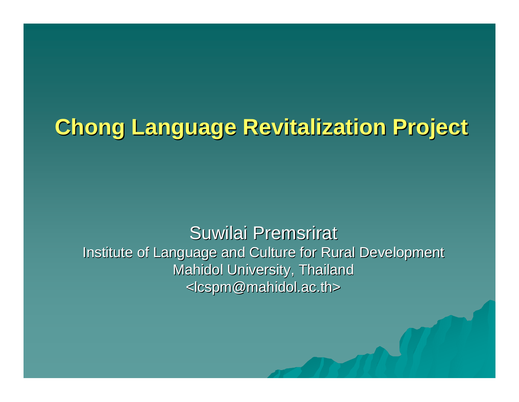# **Chong Language Revitalization Project**

### Suwilai Premsrirat

Institute of Language and Culture for Rural Development Mahidol University, Thailand <lcspm@mahidol.ac.th>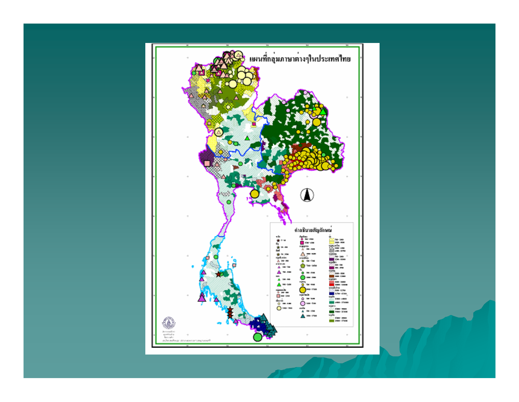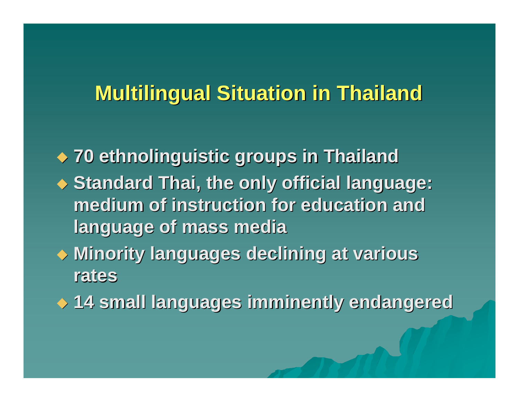## **Multilingual Situation in Thailand Multilingual Situation in Thailand**

 **70 ethnolinguistic ethnolinguistic groups in Thailand groups in Thailand** ◆ Standard Thai, the only official language: medium of instruction for education and **language of mass media language of mass media**

- $\bullet$  **Minority languages declining at various rates**
- **14 small languages imminently endangered 14 small languages imminently endangered**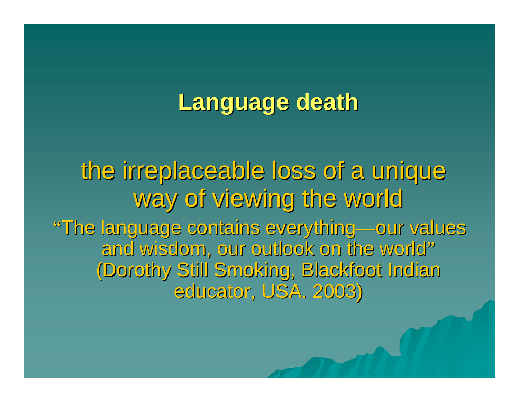# **Language death Language death**

the irreplaceable loss of a unique the irreplaceable loss of a unique way of viewing the world "The language contains everything—our values and wisdom, our outlook on the world" (Dorothy Still Smoking, Blackfoot Indian (Dorothy Still Smoking, Blackfoot Indian educator, USA. 2003)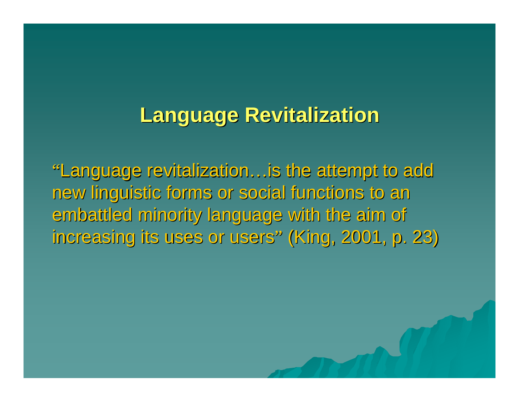## **Language Revitalization Language Revitalization**

"Language revitalization…is the attempt to add new linguistic forms or social functions to an new linguistic forms or social functions to an embattled minority language with the aim of embattled minority language with the aim of increasing its uses or users" (King, 2001, p. 23)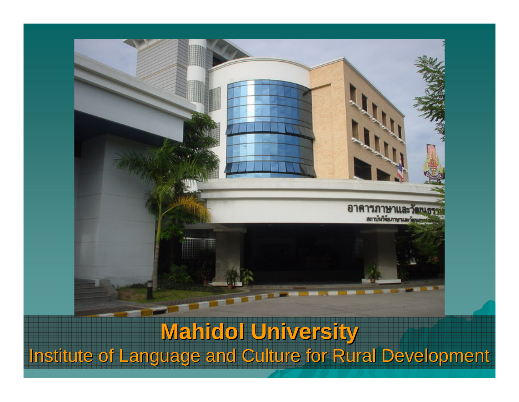

**Mahidol University** Institute of Language and Culture for Rural Development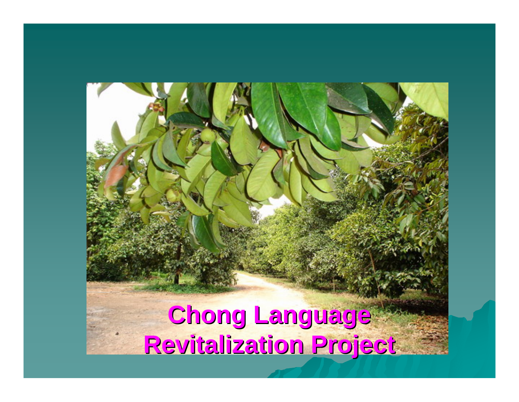# **Chong Language Revitalization Project Revitalization Project**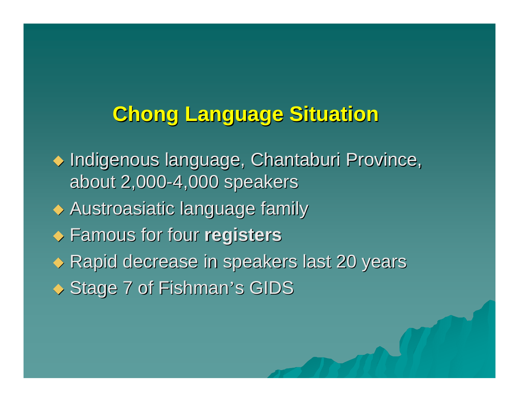# **Chong Language Situation Language Situation**

 $\blacklozenge$  Indigenous language, Chantaburi Province, about 2,000-4,000 speakers  $\blacklozenge$  Austroasiatic language family Famous for four Famous for four **registers registers** ◆ Rapid decrease in speakers last 20 years ◆ Stage 7 of Fishman's GIDS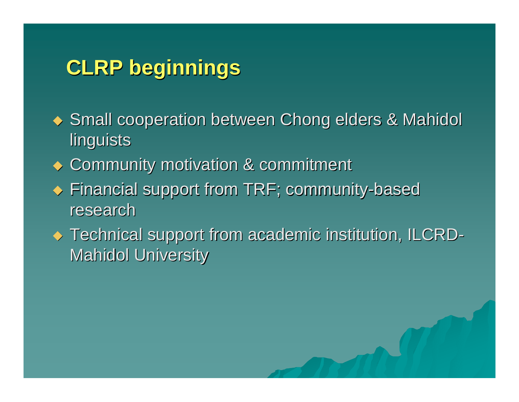# **CLRP beginnings CLRP beginnings**

- ◆ Small cooperation between Chong elders & Mahidol linguists
- ◆ Community motivation & commitment
- $\blacklozenge$  Financial support from TRF; community-based research
- $\blacklozenge$  Technical support from academic institution, ILCRD-**Mahidol University**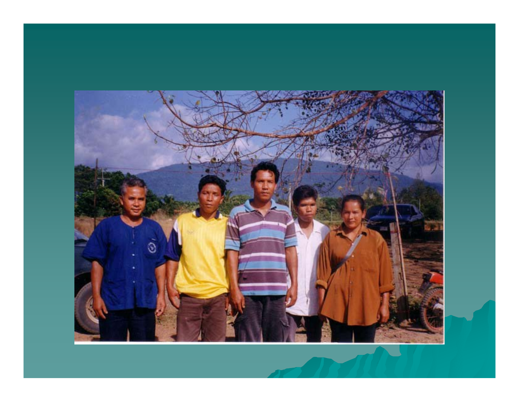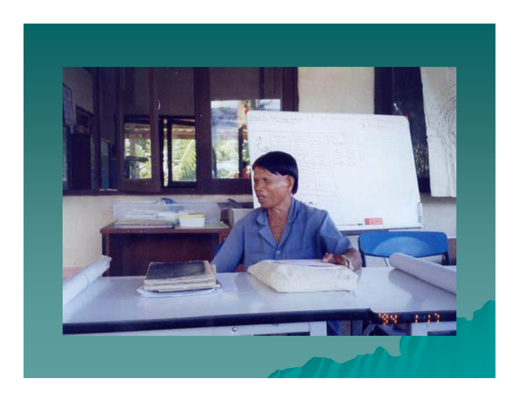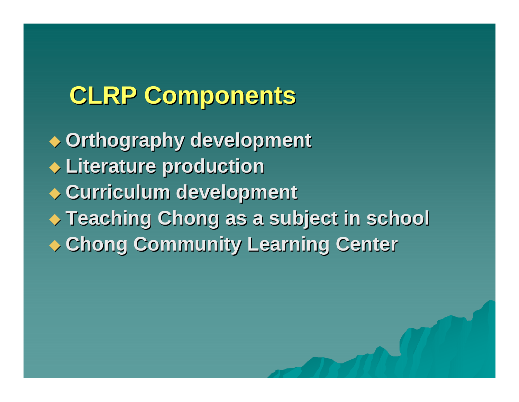# **CLRP Components CLRP Components**

 **Orthography development Orthography development Literature production Literature production Curriculum development Curriculum development Teaching Teaching Chong as a subject in school as a subject in school Chong Community Learning Center Community Learning Center**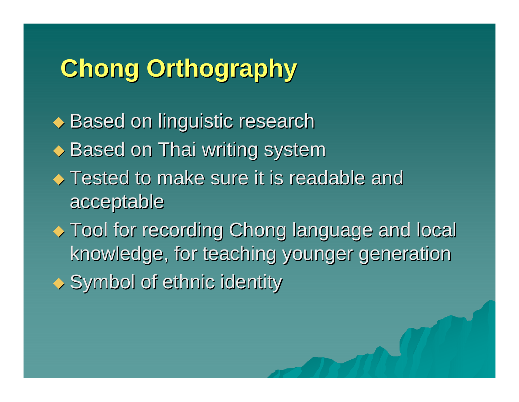# **Chong Orthography**

◆ Based on linguistic research  $\bullet$  Based on Thai writing system  $\rightarrow$  Tested to make sure it is readable and acceptable acceptable  $\leftrightarrow$  Tool for recording Chong language and local knowledge, for teaching younger generation  $\blacktriangleright$  Symbol of ethnic identity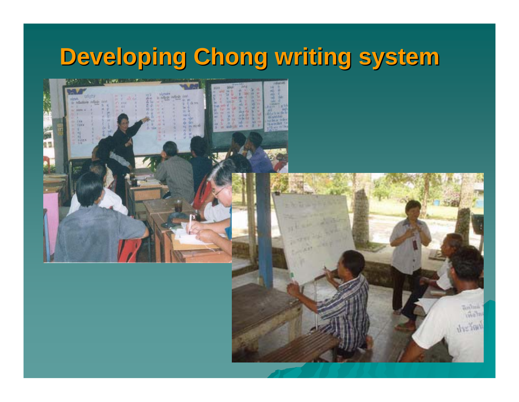# **Developing Developing Chong writing system writing system**

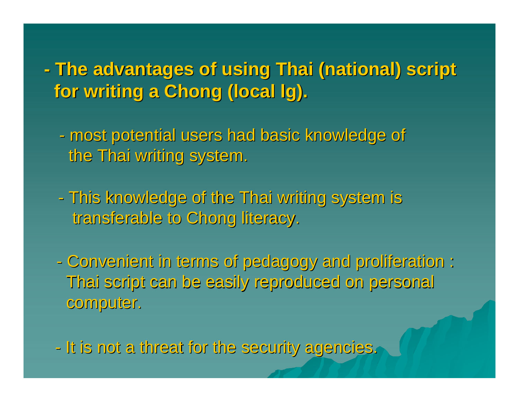### - The advantages of using Thai (national) script **for writing a for writing a Chong (local lg).**

- $\mathcal{L}_{\mathcal{A}}$ - most potential users had basic knowledge of the Thai writing system.
- This knowledge of the Thai writing system is transferable to Chong literacy.
- Convenient in terms of pedagogy and proliferation : Convenient in terms of pedagogy and proliferation : Thai script can be easily reproduced on personal Thai script can be easily reproduced on personal computer. computer.
- It is not a threat for the security agencies. It is not a threat for the security agencies.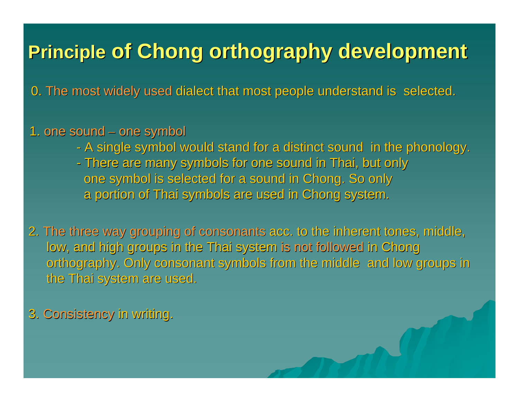# **Principle Principle of Chong orthography development orthography development**

0. The most widely used dialect that most people understand is selected.

#### 1. one sound – one symbol

- A single symbol would stand for a distinct sound in the phonology.
- There are many symbols for one sound in Thai, but only one symbol is selected for a sound in Chong. So only a portion of Thai symbols are used in Chong system.
- 2. The three way grouping of consonants acc. to the inherent tones, middle, low, and high groups in the Thai system is not followed in Chong orthography. Only consonant symbols from the middle and low groups in the Thai system are used.
- 3. Consistency in writing.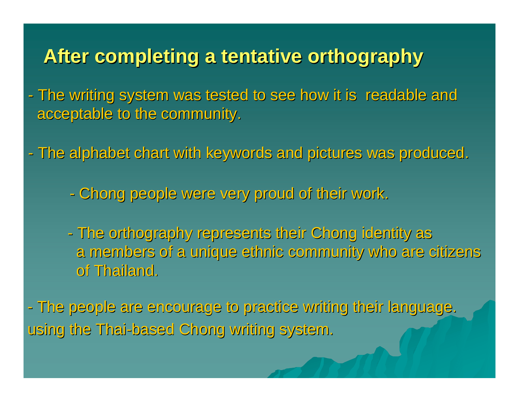### **After completing a tentative orthography After completing a tentative orthography**

- The writing system was tested to see how it is readable and acceptable to the community.
- -- The alphabet chart with keywords and pictures was produced.
	- Chong people were very proud of their work.
	- The orthography represents their Chong identity as a members of a unique ethnic community who are citizens a members of a unique ethnic community who are citizens of Thailand.

 The people are encourage to practice writing their language. The people are encourage to practice writing their language. using the Thai-based Chong writing system.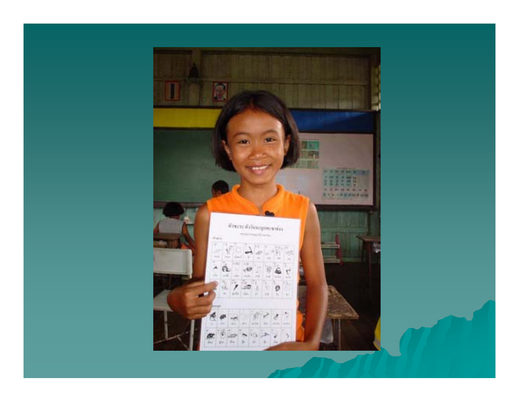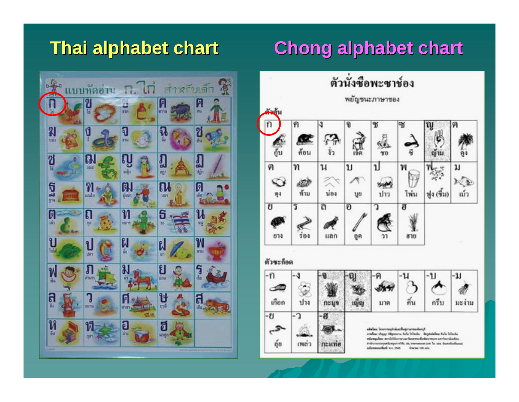### **Thai alphabet chart Thai alphabet chart Chong alphabet chart alphabet chart**



|                    |                 |                    | ตัวนั่งชื่อพะซาช์อง | พย์ฌซนะภาษาชอง       |           |                                                         |                          |
|--------------------|-----------------|--------------------|---------------------|----------------------|-----------|---------------------------------------------------------|--------------------------|
| برقيته<br>n<br>ดับ | n<br>ล้อน       | J<br>$\tilde{x}_2$ | Ō                   | K<br>制造              | 节<br>ğ    | ព្យ<br>ญ้าม                                             | ମ<br>йă                  |
| $\phi$<br>商业       | 'n<br>ท้าม      | น<br>ties          | บ<br>ųυ             | $\mathbf{1}$<br>alaa | M<br>Iviu | ฟุง (ชีม)                                               | $\mathbf{u}$<br>ໜ້າ      |
| Ù<br>814           | 5<br><b>Sea</b> | ัด<br>uan          | Ō<br>ęΑ             | ว<br>วา              | ខ<br>870  |                                                         |                          |
| ตัวจะก็อด          |                 |                    |                     |                      |           |                                                         |                          |
| -n<br>เกือก        | đ<br>aha        | neue               | ณ<br>លើល            | g<br>1/19            | ลิ้น      | -11<br>กรีบ                                             | $\mathfrak{U}$<br>มะง่าม |
| -0                 | - 7             | Ø                  |                     |                      |           | endas chus; Omno, Oslo bibels, - Gentaldes Isla bibels, |                          |

เพล่ว

őυ

neuvia

informacypationparable, 65, teamental (ex. in see buseful asteri un instru Environ 100 pilot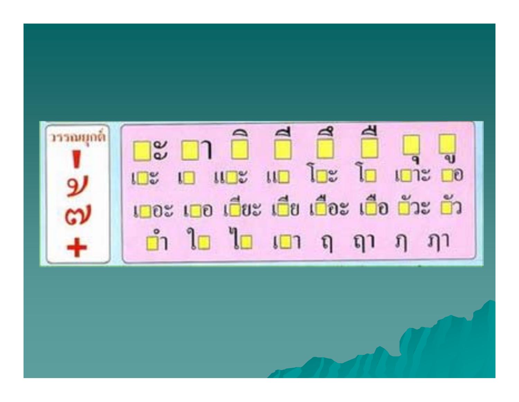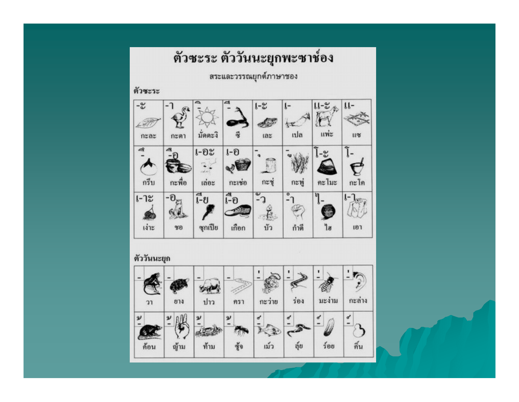| สระและวรรณยุกต์ภาษาชอง<br>ตัวซะระ |        |                              |                    |      |         |               |      |  |  |
|-----------------------------------|--------|------------------------------|--------------------|------|---------|---------------|------|--|--|
|                                   |        |                              |                    |      |         |               |      |  |  |
|                                   |        |                              |                    |      |         |               |      |  |  |
| n z a z                           | กะตา   | บัคตะงิ                      |                    | iaz  | n/a     | uviz          | ПŖ   |  |  |
| $\frac{a}{a}$                     |        | $1 - 8$                      | $I - \mathfrak{D}$ |      |         | $\frac{1}{2}$ |      |  |  |
|                                   |        |                              |                    |      |         |               |      |  |  |
| กรีบ                              | กะพื่อ | $i\dot{a}$                   | กะเช่อ             | กะช่ | nzvj    | คะโมะ         | กะโค |  |  |
| $1 - 72$                          | -0     | $\overline{\mathfrak{g}}$ -U | $\vec{F}$          |      | $\cdot$ |               |      |  |  |
|                                   |        |                              |                    |      |         |               |      |  |  |
| i                                 | Yθ     | ชุกเปีย                      | เกือก              | บัว  | กำดี    | 'la           | 181  |  |  |

#### ตัววันนะยุก

|                    |          |          |                  | ٠           | г        | ٠           |          |
|--------------------|----------|----------|------------------|-------------|----------|-------------|----------|
| 31<br>$\mathbf{v}$ | 813<br>V | ปาว<br>W | <b>9157</b><br>v | กะว่าย<br>a | 101<br>ಕ | มะง่าม<br>₫ | $nz$ ana |
| ค้อน               | ญ้าม     | ท้าม     | ช้อ              | เม้ว        | ลุ่ย     | 500         | คิน      |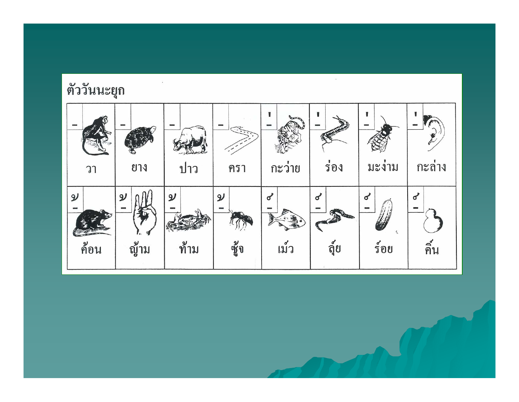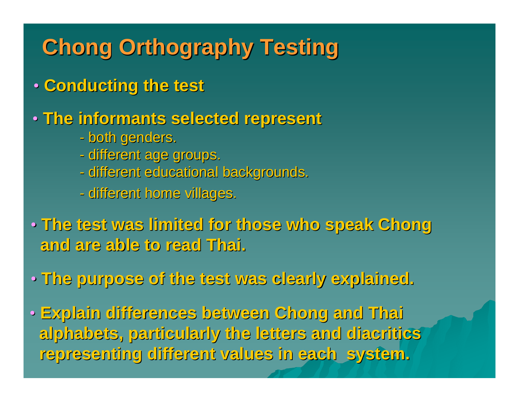# **Chong Orthography Testing**

• **Conducting the test Conducting the test**

### • **The informants selected represent The informants selected represent**

- both genders.
- different age groups.
- $\mathcal{L}_{\mathcal{A}}$ - different educational backgrounds.
- $\mathcal{L}_{\mathcal{A}}$ - different home villages.

• **The test was limited for those who speak The test was limited for those who speak Chong and are able to read Thai. and are able to read Thai.**

#### • **The purpose of the test was clearly explained. The purpose of the test was clearly explained.**

• **Explain differences between Explain differences between Chong and Thai and Thai alphabets, particularly the letters and diacritics alphabets, particularly the letters and diacritics representing different values in each system. representing different values in each system.**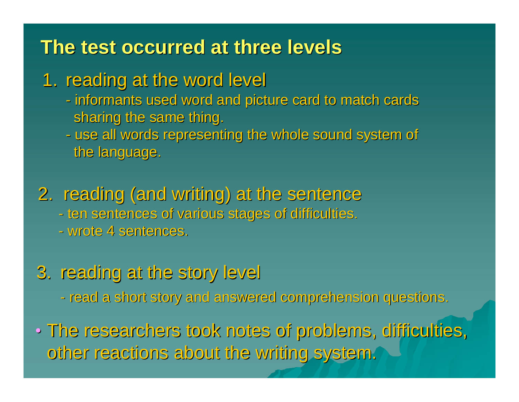### **The test occurred at three levels The test occurred at three levels**

### 1. reading at the word level

- $\mathcal{L}_{\mathcal{A}}$ - informants used word and picture card to match cards sharing the same thing.
- $\mathcal{L}_{\mathcal{A}}$ - use all words representing the whole sound system of the language.
- 2. reading (and writing) at the sentence
	- ten sentences of various stages of difficulties.
	- wrote 4 sentences.

### 3. reading at the story level

- read a short story and answered comprehension questions. read a short story and answered comprehension questions.
- The researchers took notes of problems, difficulties, The researchers took notes of problems, difficulties, other reactions about the writing system. other reactions about the writing system.